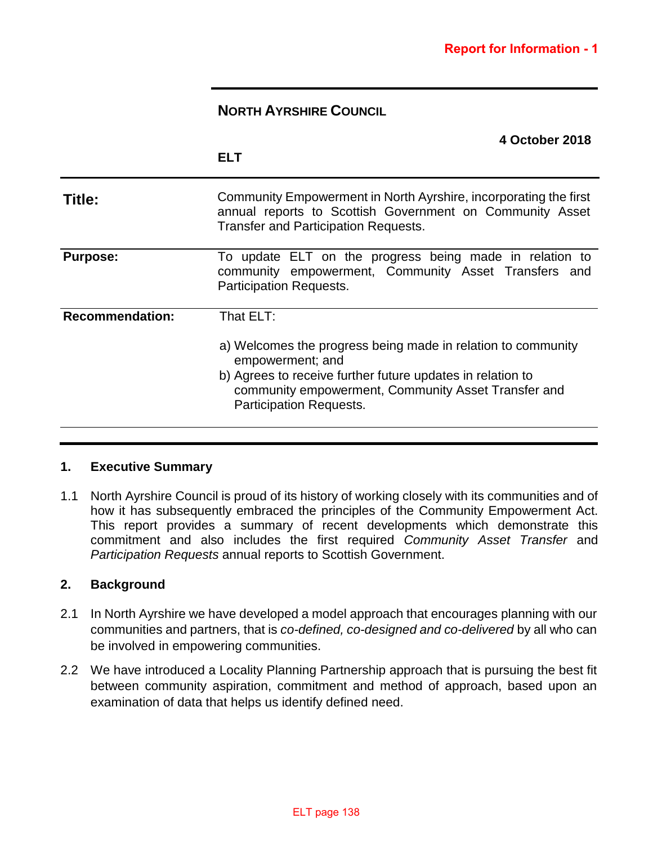# **NORTH AYRSHIRE COUNCIL**

|                        | 4 October 2018<br><b>ELT</b>                                                                                                                                                                                                                         |
|------------------------|------------------------------------------------------------------------------------------------------------------------------------------------------------------------------------------------------------------------------------------------------|
| Title:                 | Community Empowerment in North Ayrshire, incorporating the first<br>annual reports to Scottish Government on Community Asset<br><b>Transfer and Participation Requests.</b>                                                                          |
| <b>Purpose:</b>        | To update ELT on the progress being made in relation to<br>community empowerment, Community Asset Transfers and<br><b>Participation Requests.</b>                                                                                                    |
| <b>Recommendation:</b> | That ELT:<br>a) Welcomes the progress being made in relation to community<br>empowerment; and<br>b) Agrees to receive further future updates in relation to<br>community empowerment, Community Asset Transfer and<br><b>Participation Requests.</b> |

## **1. Executive Summary**

1.1 North Ayrshire Council is proud of its history of working closely with its communities and of how it has subsequently embraced the principles of the Community Empowerment Act. This report provides a summary of recent developments which demonstrate this commitment and also includes the first required *Community Asset Transfer* and *Participation Requests* annual reports to Scottish Government.

## **2. Background**

- 2.1 In North Ayrshire we have developed a model approach that encourages planning with our communities and partners, that is *co-defined, co-designed and co-delivered* by all who can be involved in empowering communities.
- 2.2 We have introduced a Locality Planning Partnership approach that is pursuing the best fit between community aspiration, commitment and method of approach, based upon an examination of data that helps us identify defined need.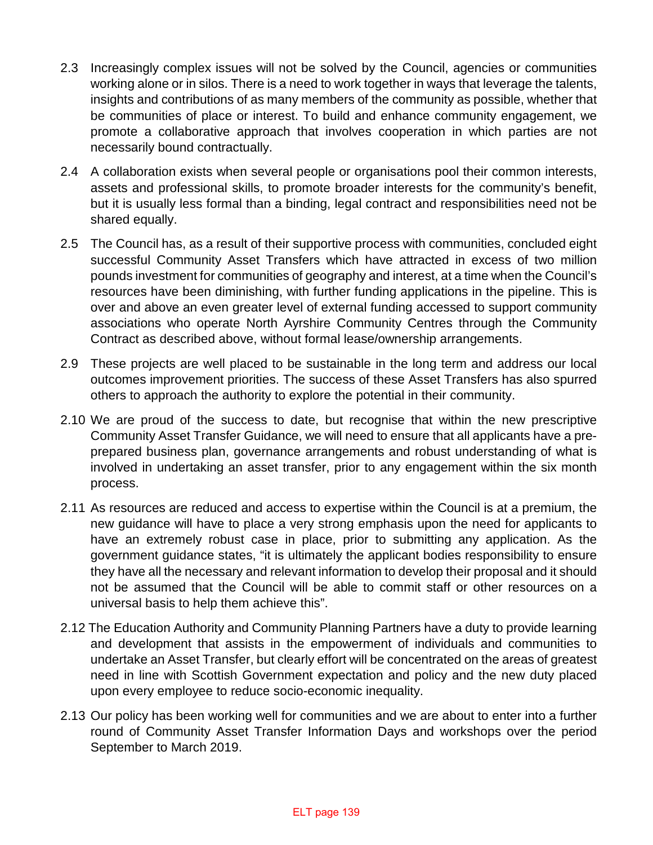- 2.3 Increasingly complex issues will not be solved by the Council, agencies or communities working alone or in silos. There is a need to work together in ways that leverage the talents, insights and contributions of as many members of the community as possible, whether that be communities of place or interest. To build and enhance community engagement, we promote a collaborative approach that involves cooperation in which parties are not necessarily bound contractually.
- 2.4 A collaboration exists when several people or organisations pool their common interests, assets and professional skills, to promote broader interests for the community's benefit, but it is usually less formal than a binding, legal contract and responsibilities need not be shared equally.
- 2.5 The Council has, as a result of their supportive process with communities, concluded eight successful Community Asset Transfers which have attracted in excess of two million pounds investment for communities of geography and interest, at a time when the Council's resources have been diminishing, with further funding applications in the pipeline. This is over and above an even greater level of external funding accessed to support community associations who operate North Ayrshire Community Centres through the Community Contract as described above, without formal lease/ownership arrangements.
- 2.9 These projects are well placed to be sustainable in the long term and address our local outcomes improvement priorities. The success of these Asset Transfers has also spurred others to approach the authority to explore the potential in their community.
- 2.10 We are proud of the success to date, but recognise that within the new prescriptive Community Asset Transfer Guidance, we will need to ensure that all applicants have a preprepared business plan, governance arrangements and robust understanding of what is involved in undertaking an asset transfer, prior to any engagement within the six month process.
- 2.11 As resources are reduced and access to expertise within the Council is at a premium, the new guidance will have to place a very strong emphasis upon the need for applicants to have an extremely robust case in place, prior to submitting any application. As the government guidance states, "it is ultimately the applicant bodies responsibility to ensure they have all the necessary and relevant information to develop their proposal and it should not be assumed that the Council will be able to commit staff or other resources on a universal basis to help them achieve this".
- 2.12 The Education Authority and Community Planning Partners have a duty to provide learning and development that assists in the empowerment of individuals and communities to undertake an Asset Transfer, but clearly effort will be concentrated on the areas of greatest need in line with Scottish Government expectation and policy and the new duty placed upon every employee to reduce socio-economic inequality.
- 2.13 Our policy has been working well for communities and we are about to enter into a further round of Community Asset Transfer Information Days and workshops over the period September to March 2019.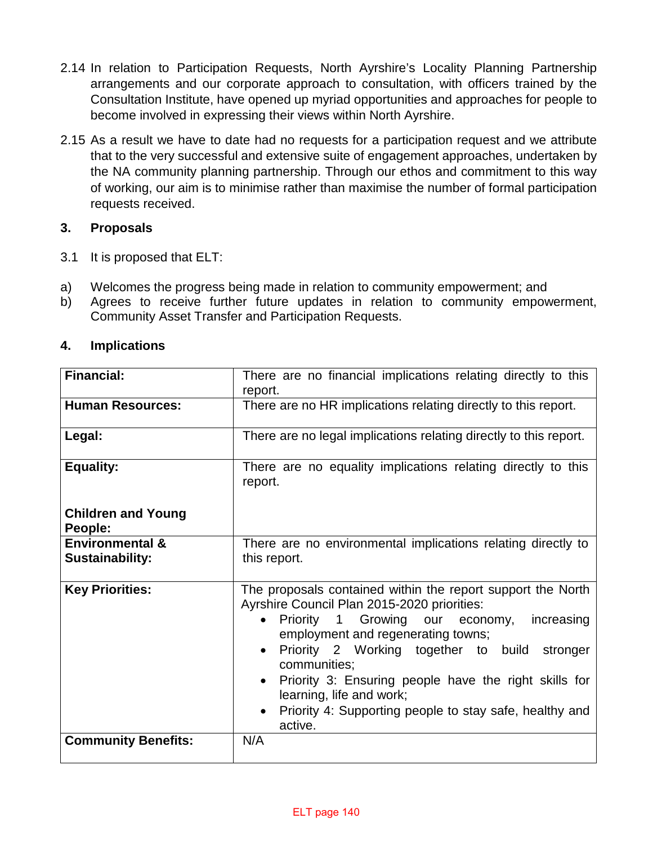- 2.14 In relation to Participation Requests, North Ayrshire's Locality Planning Partnership arrangements and our corporate approach to consultation, with officers trained by the Consultation Institute, have opened up myriad opportunities and approaches for people to become involved in expressing their views within North Ayrshire.
- 2.15 As a result we have to date had no requests for a participation request and we attribute that to the very successful and extensive suite of engagement approaches, undertaken by the NA community planning partnership. Through our ethos and commitment to this way of working, our aim is to minimise rather than maximise the number of formal participation requests received.

# **3. Proposals**

- 3.1 It is proposed that ELT:
- a) Welcomes the progress being made in relation to community empowerment; and
- b) Agrees to receive further future updates in relation to community empowerment, Community Asset Transfer and Participation Requests.

| <b>Financial:</b>                                    | There are no financial implications relating directly to this<br>report.                                                                                                                                                                                                                                                                                                                                                                                                             |  |  |  |
|------------------------------------------------------|--------------------------------------------------------------------------------------------------------------------------------------------------------------------------------------------------------------------------------------------------------------------------------------------------------------------------------------------------------------------------------------------------------------------------------------------------------------------------------------|--|--|--|
| <b>Human Resources:</b>                              | There are no HR implications relating directly to this report.                                                                                                                                                                                                                                                                                                                                                                                                                       |  |  |  |
| Legal:                                               | There are no legal implications relating directly to this report.                                                                                                                                                                                                                                                                                                                                                                                                                    |  |  |  |
| <b>Equality:</b>                                     | There are no equality implications relating directly to this<br>report.                                                                                                                                                                                                                                                                                                                                                                                                              |  |  |  |
| <b>Children and Young</b><br>People:                 |                                                                                                                                                                                                                                                                                                                                                                                                                                                                                      |  |  |  |
| <b>Environmental &amp;</b><br><b>Sustainability:</b> | There are no environmental implications relating directly to<br>this report.                                                                                                                                                                                                                                                                                                                                                                                                         |  |  |  |
| <b>Key Priorities:</b>                               | The proposals contained within the report support the North<br>Ayrshire Council Plan 2015-2020 priorities:<br>Priority 1 Growing our economy,<br>increasing<br>$\bullet$<br>employment and regenerating towns;<br>Priority 2 Working together to build<br>stronger<br>$\bullet$<br>communities;<br>Priority 3: Ensuring people have the right skills for<br>$\bullet$<br>learning, life and work;<br>Priority 4: Supporting people to stay safe, healthy and<br>$\bullet$<br>active. |  |  |  |
| <b>Community Benefits:</b>                           | N/A                                                                                                                                                                                                                                                                                                                                                                                                                                                                                  |  |  |  |

# **4. Implications**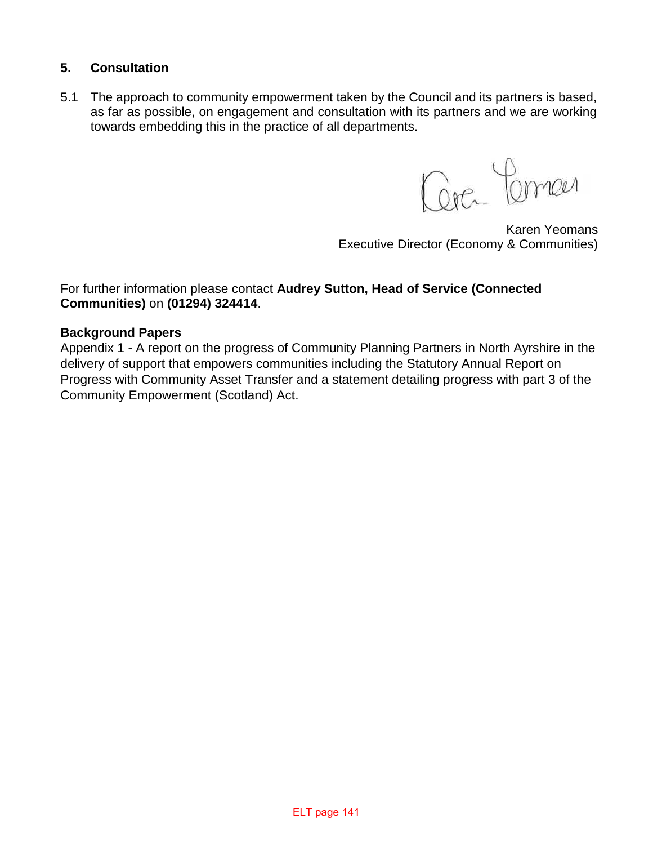# **5. Consultation**

5.1 The approach to community empowerment taken by the Council and its partners is based, as far as possible, on engagement and consultation with its partners and we are working towards embedding this in the practice of all departments.

Cerc Comen

Karen Yeomans Executive Director (Economy & Communities)

# For further information please contact **Audrey Sutton, Head of Service (Connected Communities)** on **(01294) 324414**.

# **Background Papers**

Appendix 1 - A report on the progress of Community Planning Partners in North Ayrshire in the delivery of support that empowers communities including the Statutory Annual Report on Progress with Community Asset Transfer and a statement detailing progress with part 3 of the Community Empowerment (Scotland) Act.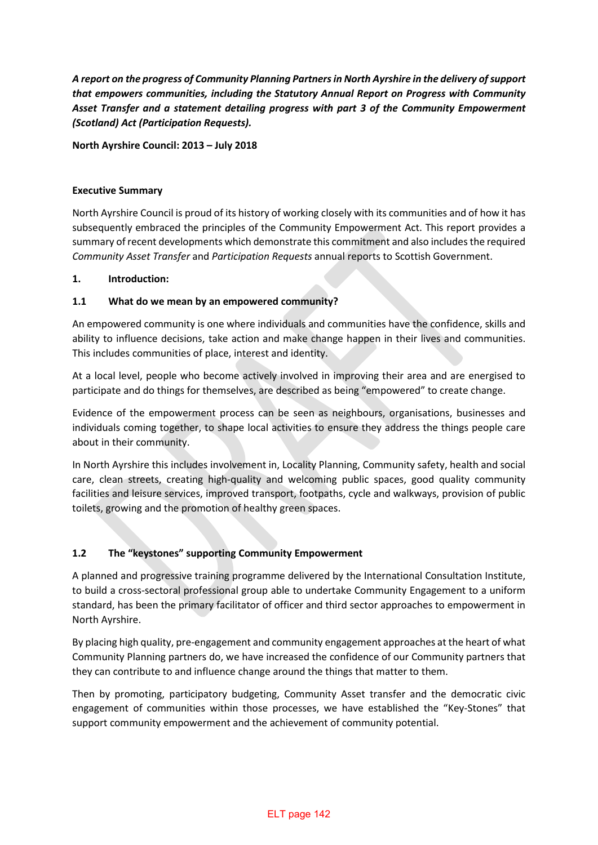*A report on the progress of Community Planning Partners in North Ayrshire in the delivery of support that empowers communities, including the Statutory Annual Report on Progress with Community Asset Transfer and a statement detailing progress with part 3 of the Community Empowerment (Scotland) Act (Participation Requests).* 

**North Ayrshire Council: 2013 – July 2018** 

### **Executive Summary**

North Ayrshire Council is proud of its history of working closely with its communities and of how it has subsequently embraced the principles of the Community Empowerment Act. This report provides a summary of recent developments which demonstrate this commitment and also includes the required *Community Asset Transfer* and *Participation Requests* annual reports to Scottish Government.

### **1. Introduction:**

### **1.1 What do we mean by an empowered community?**

An empowered community is one where individuals and communities have the confidence, skills and ability to influence decisions, take action and make change happen in their lives and communities. This includes communities of place, interest and identity.

At a local level, people who become actively involved in improving their area and are energised to participate and do things for themselves, are described as being "empowered" to create change.

Evidence of the empowerment process can be seen as neighbours, organisations, businesses and individuals coming together, to shape local activities to ensure they address the things people care about in their community.

In North Ayrshire this includes involvement in, Locality Planning, Community safety, health and social care, clean streets, creating high-quality and welcoming public spaces, good quality community facilities and leisure services, improved transport, footpaths, cycle and walkways, provision of public toilets, growing and the promotion of healthy green spaces.

## **1.2 The "keystones" supporting Community Empowerment**

A planned and progressive training programme delivered by the International Consultation Institute, to build a cross-sectoral professional group able to undertake Community Engagement to a uniform standard, has been the primary facilitator of officer and third sector approaches to empowerment in North Ayrshire.

By placing high quality, pre-engagement and community engagement approaches at the heart of what Community Planning partners do, we have increased the confidence of our Community partners that they can contribute to and influence change around the things that matter to them.

Then by promoting, participatory budgeting, Community Asset transfer and the democratic civic engagement of communities within those processes, we have established the "Key-Stones" that support community empowerment and the achievement of community potential.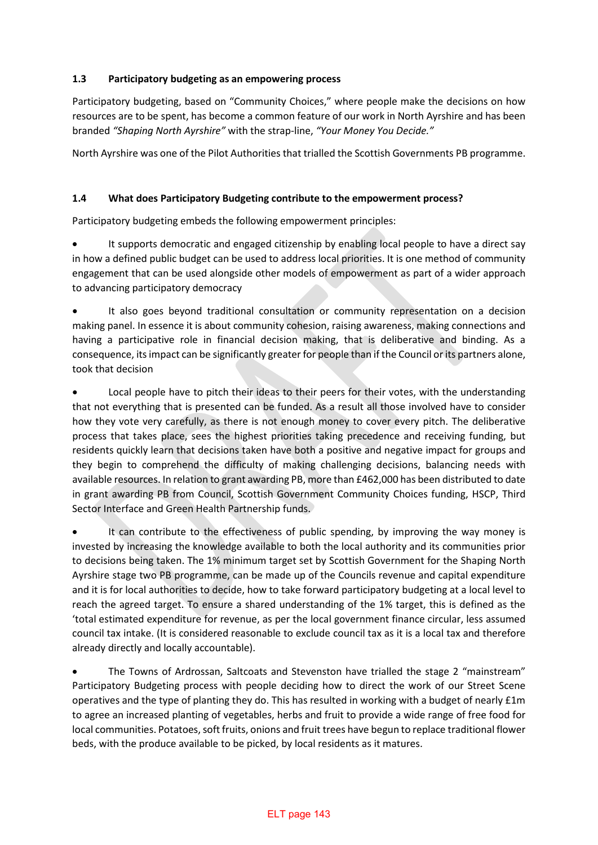## **1.3 Participatory budgeting as an empowering process**

Participatory budgeting, based on "Community Choices," where people make the decisions on how resources are to be spent, has become a common feature of our work in North Ayrshire and has been branded *"Shaping North Ayrshire"* with the strap-line, *"Your Money You Decide."*

North Ayrshire was one of the Pilot Authorities that trialled the Scottish Governments PB programme.

## **1.4 What does Participatory Budgeting contribute to the empowerment process?**

Participatory budgeting embeds the following empowerment principles:

It supports democratic and engaged citizenship by enabling local people to have a direct say in how a defined public budget can be used to address local priorities. It is one method of community engagement that can be used alongside other models of empowerment as part of a wider approach to advancing participatory democracy

It also goes beyond traditional consultation or community representation on a decision making panel. In essence it is about community cohesion, raising awareness, making connections and having a participative role in financial decision making, that is deliberative and binding. As a consequence, its impact can be significantly greater for people than if the Council or its partners alone, took that decision

Local people have to pitch their ideas to their peers for their votes, with the understanding that not everything that is presented can be funded. As a result all those involved have to consider how they vote very carefully, as there is not enough money to cover every pitch. The deliberative process that takes place, sees the highest priorities taking precedence and receiving funding, but residents quickly learn that decisions taken have both a positive and negative impact for groups and they begin to comprehend the difficulty of making challenging decisions, balancing needs with available resources. In relation to grant awarding PB, more than £462,000 has been distributed to date in grant awarding PB from Council, Scottish Government Community Choices funding, HSCP, Third Sector Interface and Green Health Partnership funds.

• It can contribute to the effectiveness of public spending, by improving the way money is invested by increasing the knowledge available to both the local authority and its communities prior to decisions being taken. The 1% minimum target set by Scottish Government for the Shaping North Ayrshire stage two PB programme, can be made up of the Councils revenue and capital expenditure and it is for local authorities to decide, how to take forward participatory budgeting at a local level to reach the agreed target. To ensure a shared understanding of the 1% target, this is defined as the 'total estimated expenditure for revenue, as per the local government finance circular, less assumed council tax intake. (It is considered reasonable to exclude council tax as it is a local tax and therefore already directly and locally accountable).

• The Towns of Ardrossan, Saltcoats and Stevenston have trialled the stage 2 "mainstream" Participatory Budgeting process with people deciding how to direct the work of our Street Scene operatives and the type of planting they do. This has resulted in working with a budget of nearly £1m to agree an increased planting of vegetables, herbs and fruit to provide a wide range of free food for local communities. Potatoes, soft fruits, onions and fruit trees have begun to replace traditional flower beds, with the produce available to be picked, by local residents as it matures.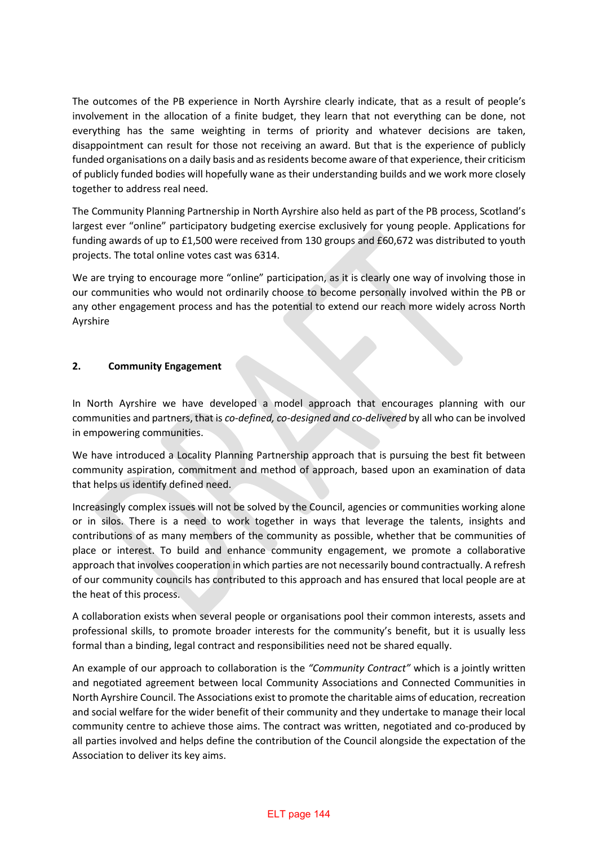The outcomes of the PB experience in North Ayrshire clearly indicate, that as a result of people's involvement in the allocation of a finite budget, they learn that not everything can be done, not everything has the same weighting in terms of priority and whatever decisions are taken, disappointment can result for those not receiving an award. But that is the experience of publicly funded organisations on a daily basis and as residents become aware of that experience, their criticism of publicly funded bodies will hopefully wane as their understanding builds and we work more closely together to address real need.

The Community Planning Partnership in North Ayrshire also held as part of the PB process, Scotland's largest ever "online" participatory budgeting exercise exclusively for young people. Applications for funding awards of up to £1,500 were received from 130 groups and £60,672 was distributed to youth projects. The total online votes cast was 6314.

We are trying to encourage more "online" participation, as it is clearly one way of involving those in our communities who would not ordinarily choose to become personally involved within the PB or any other engagement process and has the potential to extend our reach more widely across North Ayrshire

## **2. Community Engagement**

In North Ayrshire we have developed a model approach that encourages planning with our communities and partners, that is *co-defined, co-designed and co-delivered* by all who can be involved in empowering communities.

We have introduced a Locality Planning Partnership approach that is pursuing the best fit between community aspiration, commitment and method of approach, based upon an examination of data that helps us identify defined need.

Increasingly complex issues will not be solved by the Council, agencies or communities working alone or in silos. There is a need to work together in ways that leverage the talents, insights and contributions of as many members of the community as possible, whether that be communities of place or interest. To build and enhance community engagement, we promote a collaborative approach that involves cooperation in which parties are not necessarily bound contractually. A refresh of our community councils has contributed to this approach and has ensured that local people are at the heat of this process.

A collaboration exists when several people or organisations pool their common interests, assets and professional skills, to promote broader interests for the community's benefit, but it is usually less formal than a binding, legal contract and responsibilities need not be shared equally.

An example of our approach to collaboration is the *"Community Contract"* which is a jointly written and negotiated agreement between local Community Associations and Connected Communities in North Ayrshire Council. The Associations exist to promote the charitable aims of education, recreation and social welfare for the wider benefit of their community and they undertake to manage their local community centre to achieve those aims. The contract was written, negotiated and co-produced by all parties involved and helps define the contribution of the Council alongside the expectation of the Association to deliver its key aims.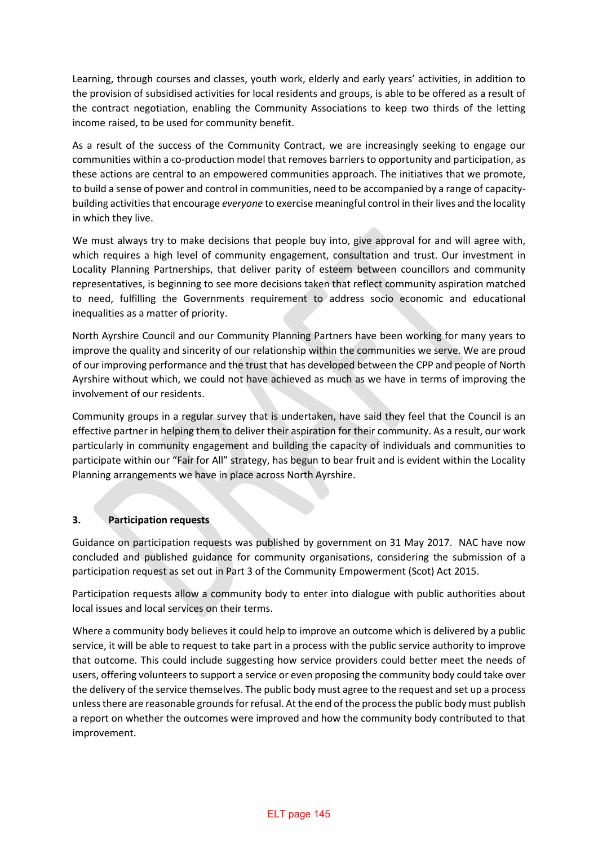Learning, through courses and classes, youth work, elderly and early years' activities, in addition to the provision of subsidised activities for local residents and groups, is able to be offered as a result of the contract negotiation, enabling the Community Associations to keep two thirds of the letting income raised, to be used for community benefit.

As a result of the success of the Community Contract, we are increasingly seeking to engage our communities within a co-production model that removes barriers to opportunity and participation, as these actions are central to an empowered communities approach. The initiatives that we promote, to build a sense of power and control in communities, need to be accompanied by a range of capacitybuilding activities that encourage *everyone* to exercise meaningful control in their lives and the locality in which they live.

We must always try to make decisions that people buy into, give approval for and will agree with, which requires a high level of community engagement, consultation and trust. Our investment in Locality Planning Partnerships, that deliver parity of esteem between councillors and community representatives, is beginning to see more decisions taken that reflect community aspiration matched to need, fulfilling the Governments requirement to address socio economic and educational inequalities as a matter of priority.

North Ayrshire Council and our Community Planning Partners have been working for many years to improve the quality and sincerity of our relationship within the communities we serve. We are proud of our improving performance and the trust that has developed between the CPP and people of North Ayrshire without which, we could not have achieved as much as we have in terms of improving the involvement of our residents.

Community groups in a regular survey that is undertaken, have said they feel that the Council is an effective partner in helping them to deliver their aspiration for their community. As a result, our work particularly in community engagement and building the capacity of individuals and communities to participate within our "Fair for All" strategy, has begun to bear fruit and is evident within the Locality Planning arrangements we have in place across North Ayrshire.

## **3. Participation requests**

Guidance on participation requests was published by government on 31 May 2017. NAC have now concluded and published guidance for community organisations, considering the submission of a participation request as set out in Part 3 of the Community Empowerment (Scot) Act 2015.

Participation requests allow a community body to enter into dialogue with public authorities about local issues and local services on their terms.

Where a community body believes it could help to improve an outcome which is delivered by a public service, it will be able to request to take part in a process with the public service authority to improve that outcome. This could include suggesting how service providers could better meet the needs of users, offering volunteers to support a service or even proposing the community body could take over the delivery of the service themselves. The public body must agree to the request and set up a process unless there are reasonable grounds for refusal. At the end of the process the public body must publish a report on whether the outcomes were improved and how the community body contributed to that improvement.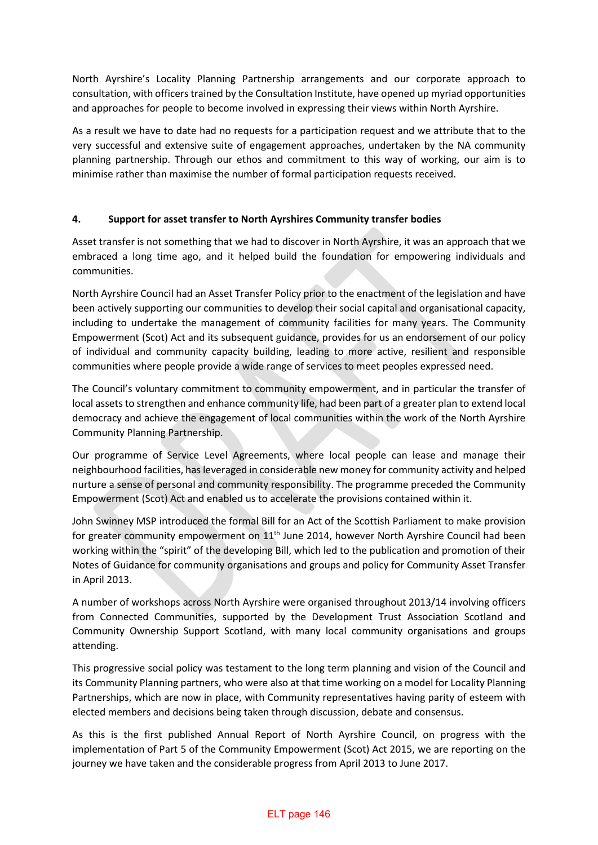North Ayrshire's Locality Planning Partnership arrangements and our corporate approach to consultation, with officers trained by the Consultation Institute, have opened up myriad opportunities and approaches for people to become involved in expressing their views within North Ayrshire.

As a result we have to date had no requests for a participation request and we attribute that to the very successful and extensive suite of engagement approaches, undertaken by the NA community planning partnership. Through our ethos and commitment to this way of working, our aim is to minimise rather than maximise the number of formal participation requests received.

## **4. Support for asset transfer to North Ayrshires Community transfer bodies**

Asset transfer is not something that we had to discover in North Ayrshire, it was an approach that we embraced a long time ago, and it helped build the foundation for empowering individuals and communities.

North Ayrshire Council had an Asset Transfer Policy prior to the enactment of the legislation and have been actively supporting our communities to develop their social capital and organisational capacity, including to undertake the management of community facilities for many years. The Community Empowerment (Scot) Act and its subsequent guidance, provides for us an endorsement of our policy of individual and community capacity building, leading to more active, resilient and responsible communities where people provide a wide range of services to meet peoples expressed need.

The Council's voluntary commitment to community empowerment, and in particular the transfer of local assets to strengthen and enhance community life, had been part of a greater plan to extend local democracy and achieve the engagement of local communities within the work of the North Ayrshire Community Planning Partnership.

Our programme of Service Level Agreements, where local people can lease and manage their neighbourhood facilities, has leveraged in considerable new money for community activity and helped nurture a sense of personal and community responsibility. The programme preceded the Community Empowerment (Scot) Act and enabled us to accelerate the provisions contained within it.

John Swinney MSP introduced the formal Bill for an Act of the Scottish Parliament to make provision for greater community empowerment on  $11<sup>th</sup>$  June 2014, however North Ayrshire Council had been working within the "spirit" of the developing Bill, which led to the publication and promotion of their Notes of Guidance for community organisations and groups and policy for Community Asset Transfer in April 2013.

A number of workshops across North Ayrshire were organised throughout 2013/14 involving officers from Connected Communities, supported by the Development Trust Association Scotland and Community Ownership Support Scotland, with many local community organisations and groups attending.

This progressive social policy was testament to the long term planning and vision of the Council and its Community Planning partners, who were also at that time working on a model for Locality Planning Partnerships, which are now in place, with Community representatives having parity of esteem with elected members and decisions being taken through discussion, debate and consensus.

As this is the first published Annual Report of North Ayrshire Council, on progress with the implementation of Part 5 of the Community Empowerment (Scot) Act 2015, we are reporting on the journey we have taken and the considerable progress from April 2013 to June 2017.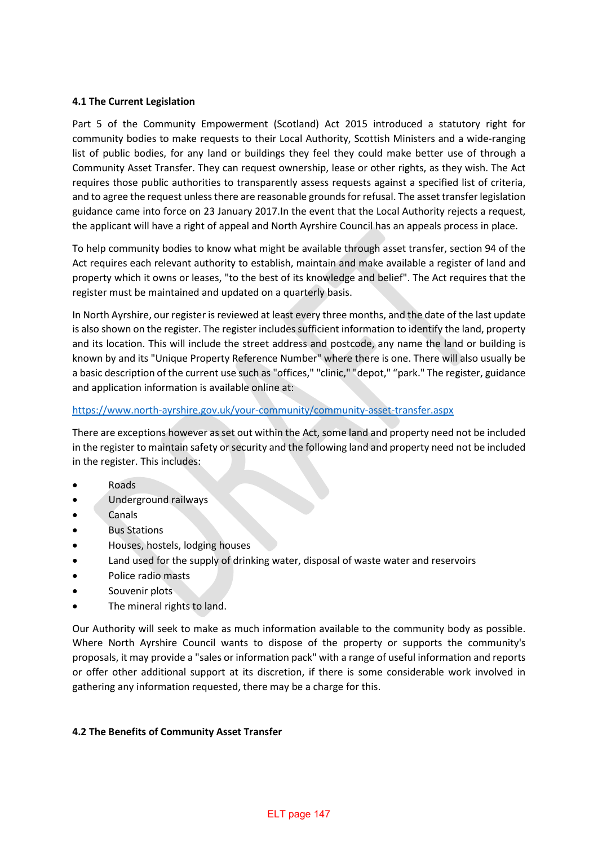### **4.1 The Current Legislation**

Part 5 of the Community Empowerment (Scotland) Act 2015 introduced a statutory right for community bodies to make requests to their Local Authority, Scottish Ministers and a wide-ranging list of public bodies, for any land or buildings they feel they could make better use of through a Community Asset Transfer. They can request ownership, lease or other rights, as they wish. The Act requires those public authorities to transparently assess requests against a specified list of criteria, and to agree the request unless there are reasonable grounds for refusal. The asset transfer legislation guidance came into force on 23 January 2017.In the event that the Local Authority rejects a request, the applicant will have a right of appeal and North Ayrshire Council has an appeals process in place.

To help community bodies to know what might be available through asset transfer, section 94 of the Act requires each relevant authority to establish, maintain and make available a register of land and property which it owns or leases, "to the best of its knowledge and belief". The Act requires that the register must be maintained and updated on a quarterly basis.

In North Ayrshire, our register is reviewed at least every three months, and the date of the last update is also shown on the register. The register includes sufficient information to identify the land, property and its location. This will include the street address and postcode, any name the land or building is known by and its "Unique Property Reference Number" where there is one. There will also usually be a basic description of the current use such as "offices," "clinic," "depot," "park." The register, guidance and application information is available online at:

### <https://www.north-ayrshire.gov.uk/your-community/community-asset-transfer.aspx>

There are exceptions however as set out within the Act, some land and property need not be included in the register to maintain safety or security and the following land and property need not be included in the register. This includes:

- Roads
- Underground railways
- Canals
- **Bus Stations**
- Houses, hostels, lodging houses
- Land used for the supply of drinking water, disposal of waste water and reservoirs
- Police radio masts
- Souvenir plots
- The mineral rights to land.

Our Authority will seek to make as much information available to the community body as possible. Where North Ayrshire Council wants to dispose of the property or supports the community's proposals, it may provide a "sales or information pack" with a range of useful information and reports or offer other additional support at its discretion, if there is some considerable work involved in gathering any information requested, there may be a charge for this.

### **4.2 The Benefits of Community Asset Transfer**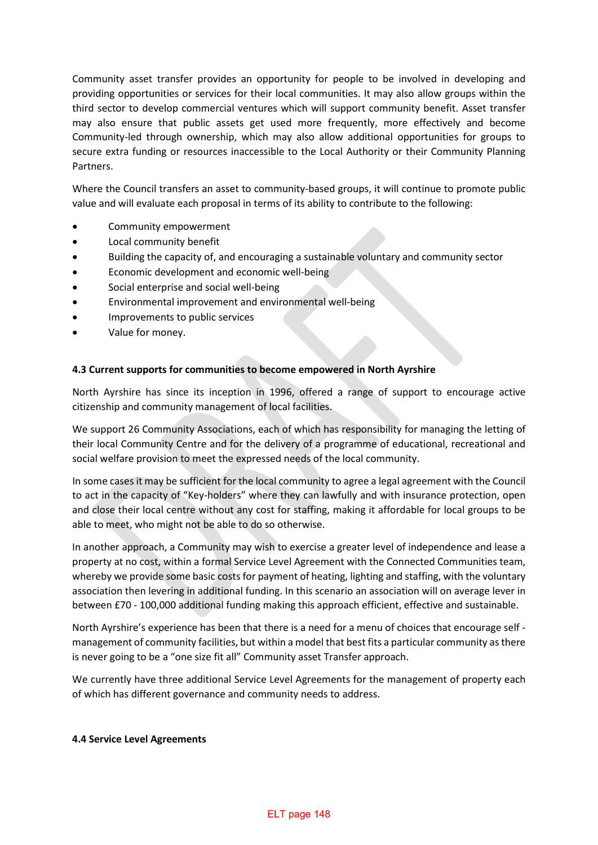Community asset transfer provides an opportunity for people to be involved in developing and providing opportunities or services for their local communities. It may also allow groups within the third sector to develop commercial ventures which will support community benefit. Asset transfer may also ensure that public assets get used more frequently, more effectively and become Community-led through ownership, which may also allow additional opportunities for groups to secure extra funding or resources inaccessible to the Local Authority or their Community Planning Partners.

Where the Council transfers an asset to community-based groups, it will continue to promote public value and will evaluate each proposal in terms of its ability to contribute to the following:

- Community empowerment
- Local community benefit
- Building the capacity of, and encouraging a sustainable voluntary and community sector
- Economic development and economic well-being
- Social enterprise and social well-being
- Environmental improvement and environmental well-being
- Improvements to public services
- Value for money.

### **4.3 Current supports for communities to become empowered in North Ayrshire**

North Ayrshire has since its inception in 1996, offered a range of support to encourage active citizenship and community management of local facilities.

We support 26 Community Associations, each of which has responsibility for managing the letting of their local Community Centre and for the delivery of a programme of educational, recreational and social welfare provision to meet the expressed needs of the local community.

In some cases it may be sufficient for the local community to agree a legal agreement with the Council to act in the capacity of "Key-holders" where they can lawfully and with insurance protection, open and close their local centre without any cost for staffing, making it affordable for local groups to be able to meet, who might not be able to do so otherwise.

In another approach, a Community may wish to exercise a greater level of independence and lease a property at no cost, within a formal Service Level Agreement with the Connected Communities team, whereby we provide some basic costs for payment of heating, lighting and staffing, with the voluntary association then levering in additional funding. In this scenario an association will on average lever in between £70 - 100,000 additional funding making this approach efficient, effective and sustainable.

North Ayrshire's experience has been that there is a need for a menu of choices that encourage self management of community facilities, but within a model that best fits a particular community as there is never going to be a "one size fit all" Community asset Transfer approach.

We currently have three additional Service Level Agreements for the management of property each of which has different governance and community needs to address.

### **4.4 Service Level Agreements**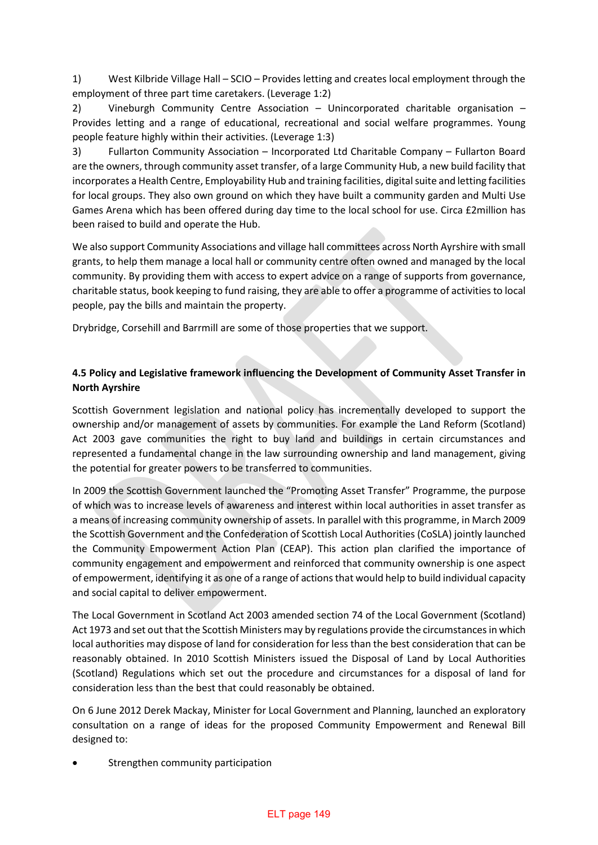1) West Kilbride Village Hall – SCIO – Provides letting and creates local employment through the employment of three part time caretakers. (Leverage 1:2)

2) Vineburgh Community Centre Association – Unincorporated charitable organisation – Provides letting and a range of educational, recreational and social welfare programmes. Young people feature highly within their activities. (Leverage 1:3)

3) Fullarton Community Association – Incorporated Ltd Charitable Company – Fullarton Board are the owners, through community asset transfer, of a large Community Hub, a new build facility that incorporates a Health Centre, Employability Hub and training facilities, digital suite and letting facilities for local groups. They also own ground on which they have built a community garden and Multi Use Games Arena which has been offered during day time to the local school for use. Circa £2million has been raised to build and operate the Hub.

We also support Community Associations and village hall committees across North Ayrshire with small grants, to help them manage a local hall or community centre often owned and managed by the local community. By providing them with access to expert advice on a range of supports from governance, charitable status, book keeping to fund raising, they are able to offer a programme of activities to local people, pay the bills and maintain the property.

Drybridge, Corsehill and Barrmill are some of those properties that we support.

# **4.5 Policy and Legislative framework influencing the Development of Community Asset Transfer in North Ayrshire**

Scottish Government legislation and national policy has incrementally developed to support the ownership and/or management of assets by communities. For example the Land Reform (Scotland) Act 2003 gave communities the right to buy land and buildings in certain circumstances and represented a fundamental change in the law surrounding ownership and land management, giving the potential for greater powers to be transferred to communities.

In 2009 the Scottish Government launched the "Promoting Asset Transfer" Programme, the purpose of which was to increase levels of awareness and interest within local authorities in asset transfer as a means of increasing community ownership of assets. In parallel with this programme, in March 2009 the Scottish Government and the Confederation of Scottish Local Authorities (CoSLA) jointly launched the Community Empowerment Action Plan (CEAP). This action plan clarified the importance of community engagement and empowerment and reinforced that community ownership is one aspect of empowerment, identifying it as one of a range of actions that would help to build individual capacity and social capital to deliver empowerment.

The Local Government in Scotland Act 2003 amended section 74 of the Local Government (Scotland) Act 1973 and set out that the Scottish Ministers may by regulations provide the circumstances in which local authorities may dispose of land for consideration for less than the best consideration that can be reasonably obtained. In 2010 Scottish Ministers issued the Disposal of Land by Local Authorities (Scotland) Regulations which set out the procedure and circumstances for a disposal of land for consideration less than the best that could reasonably be obtained.

On 6 June 2012 Derek Mackay, Minister for Local Government and Planning, launched an exploratory consultation on a range of ideas for the proposed Community Empowerment and Renewal Bill designed to:

Strengthen community participation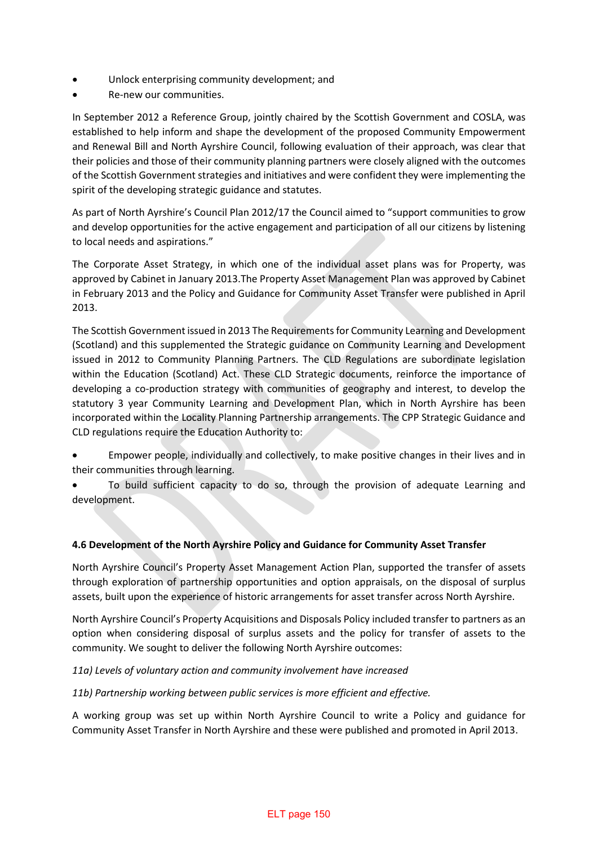- Unlock enterprising community development; and
- Re-new our communities.

In September 2012 a Reference Group, jointly chaired by the Scottish Government and COSLA, was established to help inform and shape the development of the proposed Community Empowerment and Renewal Bill and North Ayrshire Council, following evaluation of their approach, was clear that their policies and those of their community planning partners were closely aligned with the outcomes of the Scottish Government strategies and initiatives and were confident they were implementing the spirit of the developing strategic guidance and statutes.

As part of North Ayrshire's Council Plan 2012/17 the Council aimed to "support communities to grow and develop opportunities for the active engagement and participation of all our citizens by listening to local needs and aspirations."

The Corporate Asset Strategy, in which one of the individual asset plans was for Property, was approved by Cabinet in January 2013.The Property Asset Management Plan was approved by Cabinet in February 2013 and the Policy and Guidance for Community Asset Transfer were published in April 2013.

The Scottish Government issued in 2013 The Requirements for Community Learning and Development (Scotland) and this supplemented the Strategic guidance on Community Learning and Development issued in 2012 to Community Planning Partners. The CLD Regulations are subordinate legislation within the Education (Scotland) Act. These CLD Strategic documents, reinforce the importance of developing a co-production strategy with communities of geography and interest, to develop the statutory 3 year Community Learning and Development Plan, which in North Ayrshire has been incorporated within the Locality Planning Partnership arrangements. The CPP Strategic Guidance and CLD regulations require the Education Authority to:

- Empower people, individually and collectively, to make positive changes in their lives and in their communities through learning.
- To build sufficient capacity to do so, through the provision of adequate Learning and development.

## **4.6 Development of the North Ayrshire Policy and Guidance for Community Asset Transfer**

North Ayrshire Council's Property Asset Management Action Plan, supported the transfer of assets through exploration of partnership opportunities and option appraisals, on the disposal of surplus assets, built upon the experience of historic arrangements for asset transfer across North Ayrshire.

North Ayrshire Council's Property Acquisitions and Disposals Policy included transfer to partners as an option when considering disposal of surplus assets and the policy for transfer of assets to the community. We sought to deliver the following North Ayrshire outcomes:

## *11a) Levels of voluntary action and community involvement have increased*

## *11b) Partnership working between public services is more efficient and effective.*

A working group was set up within North Ayrshire Council to write a Policy and guidance for Community Asset Transfer in North Ayrshire and these were published and promoted in April 2013.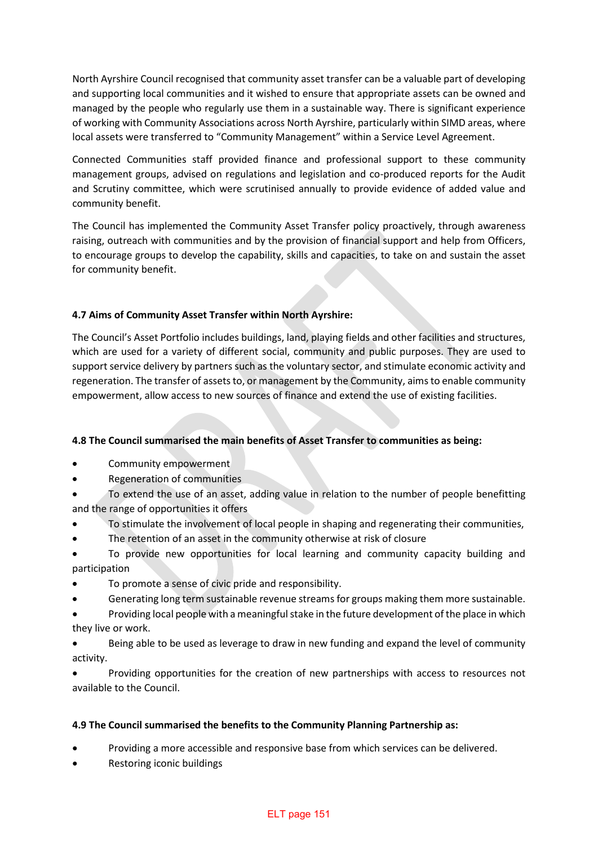North Ayrshire Council recognised that community asset transfer can be a valuable part of developing and supporting local communities and it wished to ensure that appropriate assets can be owned and managed by the people who regularly use them in a sustainable way. There is significant experience of working with Community Associations across North Ayrshire, particularly within SIMD areas, where local assets were transferred to "Community Management" within a Service Level Agreement.

Connected Communities staff provided finance and professional support to these community management groups, advised on regulations and legislation and co-produced reports for the Audit and Scrutiny committee, which were scrutinised annually to provide evidence of added value and community benefit.

The Council has implemented the Community Asset Transfer policy proactively, through awareness raising, outreach with communities and by the provision of financial support and help from Officers, to encourage groups to develop the capability, skills and capacities, to take on and sustain the asset for community benefit.

## **4.7 Aims of Community Asset Transfer within North Ayrshire:**

The Council's Asset Portfolio includes buildings, land, playing fields and other facilities and structures, which are used for a variety of different social, community and public purposes. They are used to support service delivery by partners such as the voluntary sector, and stimulate economic activity and regeneration. The transfer of assets to, or management by the Community, aims to enable community empowerment, allow access to new sources of finance and extend the use of existing facilities.

## **4.8 The Council summarised the main benefits of Asset Transfer to communities as being:**

- Community empowerment
- Regeneration of communities
- To extend the use of an asset, adding value in relation to the number of people benefitting and the range of opportunities it offers
- To stimulate the involvement of local people in shaping and regenerating their communities,
- The retention of an asset in the community otherwise at risk of closure

• To provide new opportunities for local learning and community capacity building and participation

- To promote a sense of civic pride and responsibility.
- Generating long term sustainable revenue streams for groups making them more sustainable.
- Providing local people with a meaningful stake in the future development of the place in which they live or work.

• Being able to be used as leverage to draw in new funding and expand the level of community activity.

• Providing opportunities for the creation of new partnerships with access to resources not available to the Council.

## **4.9 The Council summarised the benefits to the Community Planning Partnership as:**

- Providing a more accessible and responsive base from which services can be delivered.
- Restoring iconic buildings

### ELT page 151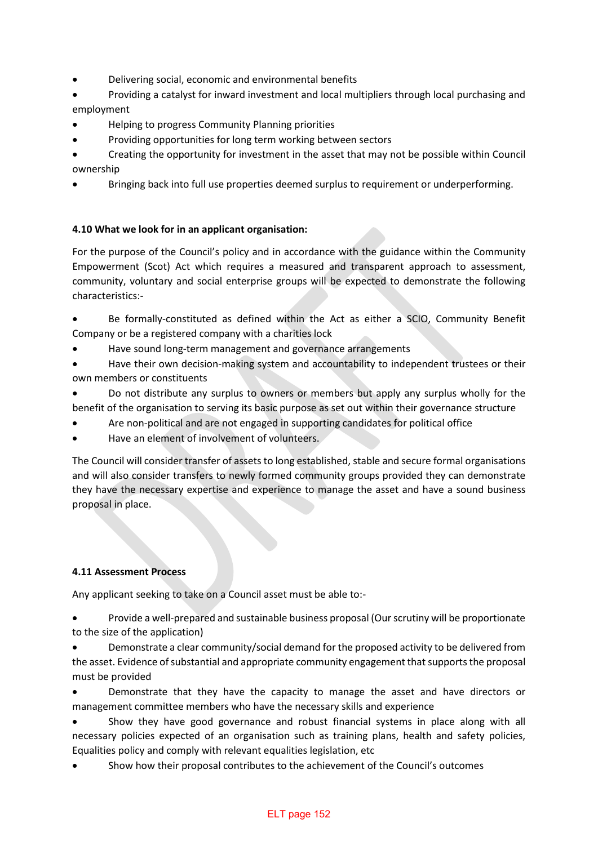- Delivering social, economic and environmental benefits
- Providing a catalyst for inward investment and local multipliers through local purchasing and employment
- Helping to progress Community Planning priorities
- Providing opportunities for long term working between sectors
- Creating the opportunity for investment in the asset that may not be possible within Council ownership
- Bringing back into full use properties deemed surplus to requirement or underperforming.

## **4.10 What we look for in an applicant organisation:**

For the purpose of the Council's policy and in accordance with the guidance within the Community Empowerment (Scot) Act which requires a measured and transparent approach to assessment, community, voluntary and social enterprise groups will be expected to demonstrate the following characteristics:-

- Be formally-constituted as defined within the Act as either a SCIO, Community Benefit Company or be a registered company with a charities lock
- Have sound long-term management and governance arrangements
- Have their own decision-making system and accountability to independent trustees or their own members or constituents
- Do not distribute any surplus to owners or members but apply any surplus wholly for the benefit of the organisation to serving its basic purpose as set out within their governance structure
- Are non-political and are not engaged in supporting candidates for political office
- Have an element of involvement of volunteers.

The Council will consider transfer of assets to long established, stable and secure formal organisations and will also consider transfers to newly formed community groups provided they can demonstrate they have the necessary expertise and experience to manage the asset and have a sound business proposal in place.

### **4.11 Assessment Process**

Any applicant seeking to take on a Council asset must be able to:-

• Provide a well-prepared and sustainable business proposal (Our scrutiny will be proportionate to the size of the application)

• Demonstrate a clear community/social demand for the proposed activity to be delivered from the asset. Evidence of substantial and appropriate community engagement that supports the proposal must be provided

• Demonstrate that they have the capacity to manage the asset and have directors or management committee members who have the necessary skills and experience

• Show they have good governance and robust financial systems in place along with all necessary policies expected of an organisation such as training plans, health and safety policies, Equalities policy and comply with relevant equalities legislation, etc

• Show how their proposal contributes to the achievement of the Council's outcomes

### ELT page 152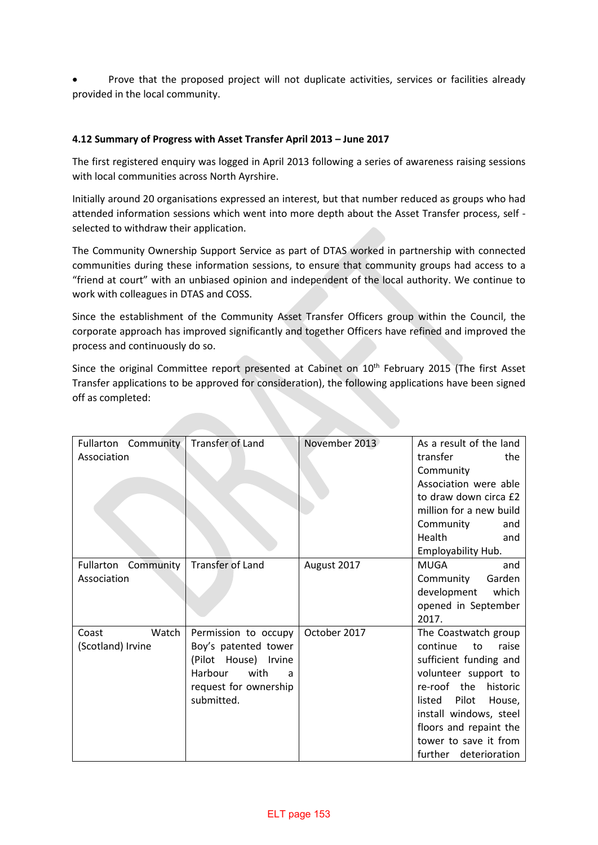• Prove that the proposed project will not duplicate activities, services or facilities already provided in the local community.

### **4.12 Summary of Progress with Asset Transfer April 2013 – June 2017**

The first registered enquiry was logged in April 2013 following a series of awareness raising sessions with local communities across North Ayrshire.

Initially around 20 organisations expressed an interest, but that number reduced as groups who had attended information sessions which went into more depth about the Asset Transfer process, self selected to withdraw their application.

The Community Ownership Support Service as part of DTAS worked in partnership with connected communities during these information sessions, to ensure that community groups had access to a "friend at court" with an unbiased opinion and independent of the local authority. We continue to work with colleagues in DTAS and COSS.

Since the establishment of the Community Asset Transfer Officers group within the Council, the corporate approach has improved significantly and together Officers have refined and improved the process and continuously do so.

Since the original Committee report presented at Cabinet on 10<sup>th</sup> February 2015 (The first Asset Transfer applications to be approved for consideration), the following applications have been signed off as completed:

| Fullarton Community | <b>Transfer of Land</b> | November 2013 | As a result of the land   |
|---------------------|-------------------------|---------------|---------------------------|
| Association         |                         |               | transfer<br>the           |
|                     |                         |               | Community                 |
|                     |                         |               | Association were able     |
|                     |                         |               | to draw down circa £2     |
|                     |                         |               | million for a new build   |
|                     |                         |               | Community<br>and          |
|                     |                         |               | Health<br>and             |
|                     |                         |               | Employability Hub.        |
| Fullarton Community | <b>Transfer of Land</b> | August 2017   | <b>MUGA</b><br>and        |
| Association         |                         |               | Garden<br>Community       |
|                     |                         |               | development<br>which      |
|                     |                         |               | opened in September       |
|                     |                         |               | 2017.                     |
| Watch<br>Coast      | Permission to occupy    | October 2017  | The Coastwatch group      |
| (Scotland) Irvine   | Boy's patented tower    |               | continue<br>raise<br>to   |
|                     | (Pilot House) Irvine    |               | sufficient funding and    |
|                     | with<br>Harbour<br>a    |               | volunteer support to      |
|                     | request for ownership   |               | re-roof the<br>historic   |
|                     | submitted.              |               | Pilot<br>listed<br>House, |
|                     |                         |               | install windows, steel    |
|                     |                         |               | floors and repaint the    |
|                     |                         |               | tower to save it from     |
|                     |                         |               | further deterioration     |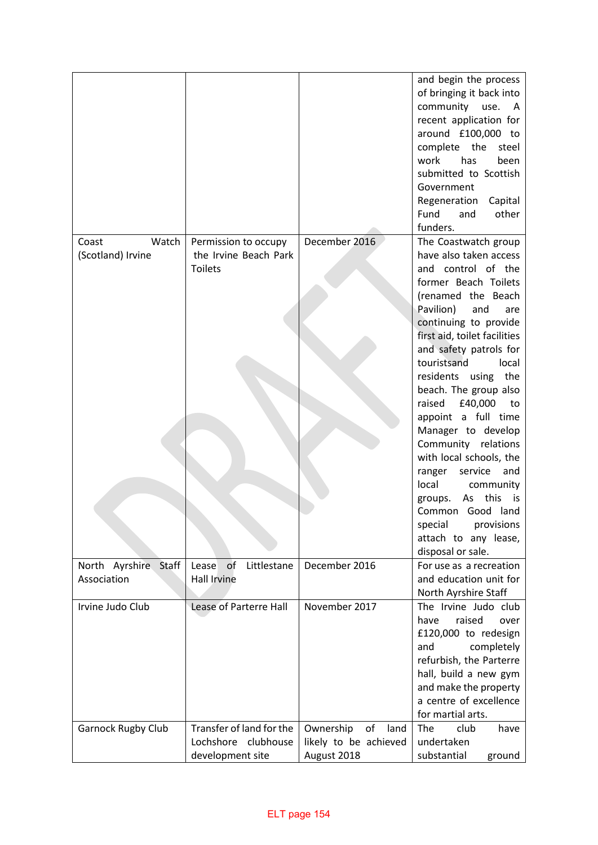|                           |                               |                         | and begin the process        |
|---------------------------|-------------------------------|-------------------------|------------------------------|
|                           |                               |                         | of bringing it back into     |
|                           |                               |                         | community<br>use.<br>A       |
|                           |                               |                         | recent application for       |
|                           |                               |                         | around £100,000 to           |
|                           |                               |                         | complete the<br>steel        |
|                           |                               |                         | has<br>work<br>been          |
|                           |                               |                         | submitted to Scottish        |
|                           |                               |                         | Government                   |
|                           |                               |                         | Regeneration<br>Capital      |
|                           |                               |                         | other<br>Fund<br>and         |
|                           |                               |                         | funders.                     |
| Watch<br>Coast            | Permission to occupy          | December 2016           | The Coastwatch group         |
| (Scotland) Irvine         | the Irvine Beach Park         |                         | have also taken access       |
|                           | <b>Toilets</b>                |                         | and control of the           |
|                           |                               |                         | former Beach Toilets         |
|                           |                               |                         | (renamed the Beach           |
|                           |                               |                         | Pavilion)<br>and<br>are      |
|                           |                               |                         | continuing to provide        |
|                           |                               |                         | first aid, toilet facilities |
|                           |                               |                         | and safety patrols for       |
|                           |                               |                         | touristsand<br>local         |
|                           |                               |                         | residents using the          |
|                           |                               |                         | beach. The group also        |
|                           |                               |                         | raised<br>£40,000<br>to      |
|                           |                               |                         | appoint a full time          |
|                           |                               |                         | Manager to develop           |
|                           |                               |                         | Community relations          |
|                           |                               |                         | with local schools, the      |
|                           |                               |                         | service<br>and<br>ranger     |
|                           |                               |                         | local<br>community           |
|                           |                               |                         | this<br>As<br>groups.<br>is  |
|                           |                               |                         | Common Good land             |
|                           |                               |                         | special<br>provisions        |
|                           |                               |                         | attach to any lease,         |
|                           |                               |                         | disposal or sale.            |
| North Ayrshire<br>Staff   | Lease<br>of<br>Littlestane    | December 2016           | For use as a recreation      |
| Association               | Hall Irvine                   |                         | and education unit for       |
|                           |                               |                         | North Ayrshire Staff         |
| Irvine Judo Club          | <b>Lease of Parterre Hall</b> | November 2017           | The Irvine Judo club         |
|                           |                               |                         | raised<br>have<br>over       |
|                           |                               |                         | £120,000 to redesign         |
|                           |                               |                         | completely<br>and            |
|                           |                               |                         | refurbish, the Parterre      |
|                           |                               |                         | hall, build a new gym        |
|                           |                               |                         | and make the property        |
|                           |                               |                         | a centre of excellence       |
|                           |                               |                         | for martial arts.            |
| <b>Garnock Rugby Club</b> | Transfer of land for the      | Ownership<br>of<br>land | club<br>The<br>have          |
|                           | Lochshore clubhouse           | likely to be achieved   | undertaken                   |
|                           | development site              | August 2018             | substantial<br>ground        |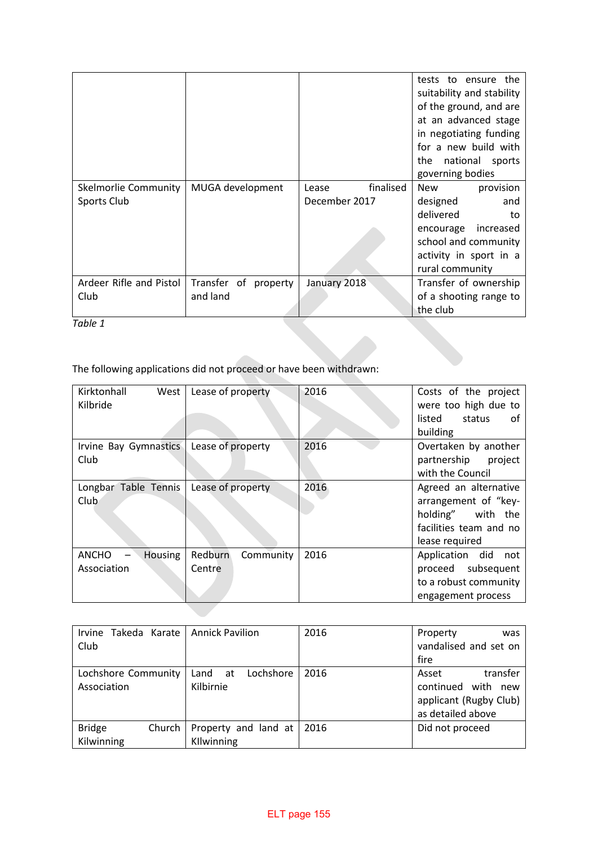|                                                                    |                      |                    | tests to ensure the<br>suitability and stability<br>of the ground, and are<br>at an advanced stage<br>in negotiating funding<br>for a new build with<br>national sports<br>the<br>governing bodies |
|--------------------------------------------------------------------|----------------------|--------------------|----------------------------------------------------------------------------------------------------------------------------------------------------------------------------------------------------|
| Skelmorlie Community                                               | MUGA development     | finalised<br>Lease | <b>New</b><br>provision                                                                                                                                                                            |
| Sports Club                                                        |                      | December 2017      | designed<br>and                                                                                                                                                                                    |
|                                                                    |                      |                    | delivered<br>to<br>encourage<br>increased                                                                                                                                                          |
|                                                                    |                      |                    | school and community                                                                                                                                                                               |
|                                                                    |                      |                    | activity in sport in a                                                                                                                                                                             |
|                                                                    |                      |                    | rural community                                                                                                                                                                                    |
| Ardeer Rifle and Pistol                                            | Transfer of property | January 2018       | Transfer of ownership                                                                                                                                                                              |
| Club                                                               | and land             |                    | of a shooting range to                                                                                                                                                                             |
|                                                                    |                      |                    | the club                                                                                                                                                                                           |
| Table 1                                                            |                      |                    |                                                                                                                                                                                                    |
|                                                                    |                      |                    |                                                                                                                                                                                                    |
| The following applications did not proceed or have been withdrawn: |                      |                    |                                                                                                                                                                                                    |

The following applications did not proceed or have been withdrawn:

| Kirktonhall<br>West<br>Kilbride        | Lease of property              | 2016 | Costs of the project<br>were too high due to<br>listed<br>status<br>_of<br>building                            |
|----------------------------------------|--------------------------------|------|----------------------------------------------------------------------------------------------------------------|
| Irvine Bay Gymnastics<br>Club          | Lease of property              | 2016 | Overtaken by another<br>partnership<br>project<br>with the Council                                             |
| Longbar Table Tennis<br>Club           | Lease of property              | 2016 | Agreed an alternative<br>arrangement of "key-<br>holding" with the<br>facilities team and no<br>lease required |
| <b>ANCHO</b><br>Housing<br>Association | Redburn<br>Community<br>Centre | 2016 | Application did<br>not<br>proceed subsequent<br>to a robust community<br>engagement process                    |

| Takeda Karate   Annick Pavilion<br>Irvine<br>Club |                                      | 2016 | Property<br>was<br>vandalised and set on<br>fire                                             |
|---------------------------------------------------|--------------------------------------|------|----------------------------------------------------------------------------------------------|
| Lochshore Community<br>Association                | Lochshore<br>Land<br>at<br>Kilbirnie | 2016 | transfer<br>Asset<br>continued<br>with<br>new<br>applicant (Rugby Club)<br>as detailed above |
| <b>Bridge</b><br>Church<br>Kilwinning             | Property and land at<br>Kllwinning   | 2016 | Did not proceed                                                                              |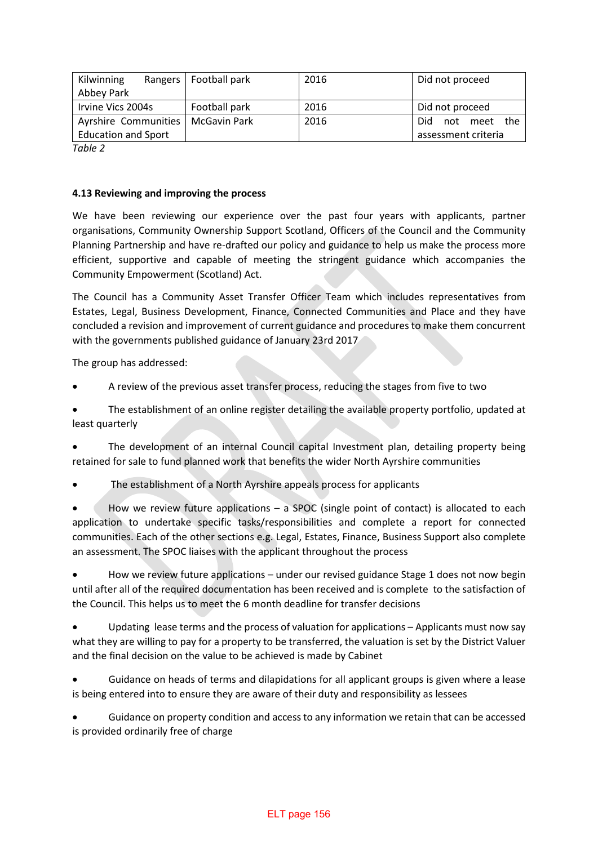| Kilwinning                 | Rangers   Football park | 2016 | Did not proceed      |
|----------------------------|-------------------------|------|----------------------|
| Abbey Park                 |                         |      |                      |
| Irvine Vics 2004s          | Football park           | 2016 | Did not proceed      |
| Ayrshire Communities       | McGavin Park            | 2016 | Did.<br>not meet the |
| <b>Education and Sport</b> |                         |      | assessment criteria  |
| $T = L L$                  |                         |      |                      |

*Table 2*

### **4.13 Reviewing and improving the process**

We have been reviewing our experience over the past four years with applicants, partner organisations, Community Ownership Support Scotland, Officers of the Council and the Community Planning Partnership and have re-drafted our policy and guidance to help us make the process more efficient, supportive and capable of meeting the stringent guidance which accompanies the Community Empowerment (Scotland) Act.

The Council has a Community Asset Transfer Officer Team which includes representatives from Estates, Legal, Business Development, Finance, Connected Communities and Place and they have concluded a revision and improvement of current guidance and procedures to make them concurrent with the governments published guidance of January 23rd 2017

The group has addressed:

A review of the previous asset transfer process, reducing the stages from five to two

• The establishment of an online register detailing the available property portfolio, updated at least quarterly

• The development of an internal Council capital Investment plan, detailing property being retained for sale to fund planned work that benefits the wider North Ayrshire communities

• The establishment of a North Ayrshire appeals process for applicants

How we review future applications  $-$  a SPOC (single point of contact) is allocated to each application to undertake specific tasks/responsibilities and complete a report for connected communities. Each of the other sections e.g. Legal, Estates, Finance, Business Support also complete an assessment. The SPOC liaises with the applicant throughout the process

• How we review future applications – under our revised guidance Stage 1 does not now begin until after all of the required documentation has been received and is complete to the satisfaction of the Council. This helps us to meet the 6 month deadline for transfer decisions

Updating lease terms and the process of valuation for applications – Applicants must now say what they are willing to pay for a property to be transferred, the valuation is set by the District Valuer and the final decision on the value to be achieved is made by Cabinet

• Guidance on heads of terms and dilapidations for all applicant groups is given where a lease is being entered into to ensure they are aware of their duty and responsibility as lessees

• Guidance on property condition and access to any information we retain that can be accessed is provided ordinarily free of charge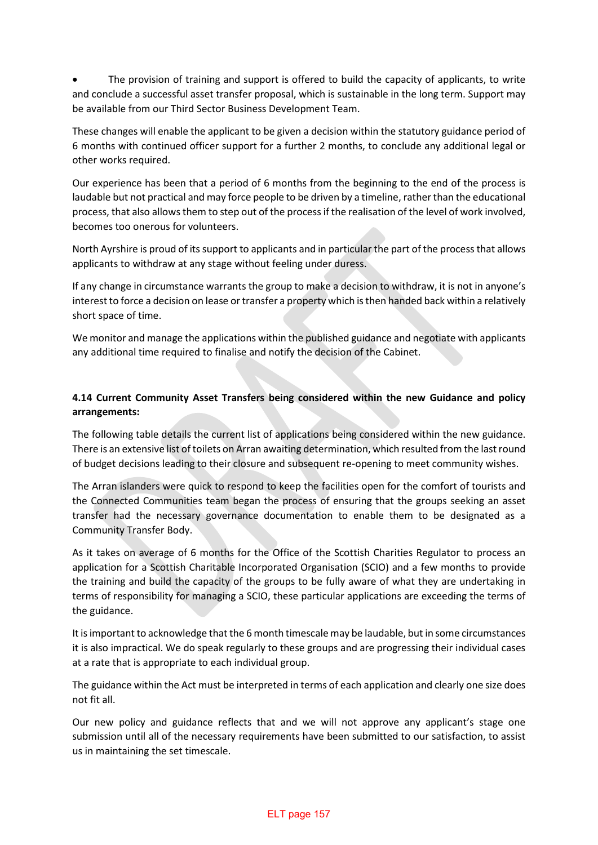• The provision of training and support is offered to build the capacity of applicants, to write and conclude a successful asset transfer proposal, which is sustainable in the long term. Support may be available from our Third Sector Business Development Team.

These changes will enable the applicant to be given a decision within the statutory guidance period of 6 months with continued officer support for a further 2 months, to conclude any additional legal or other works required.

Our experience has been that a period of 6 months from the beginning to the end of the process is laudable but not practical and may force people to be driven by a timeline, rather than the educational process, that also allows them to step out of the process if the realisation of the level of work involved, becomes too onerous for volunteers.

North Ayrshire is proud of its support to applicants and in particular the part of the process that allows applicants to withdraw at any stage without feeling under duress.

If any change in circumstance warrants the group to make a decision to withdraw, it is not in anyone's interest to force a decision on lease or transfer a property which is then handed back within a relatively short space of time.

We monitor and manage the applications within the published guidance and negotiate with applicants any additional time required to finalise and notify the decision of the Cabinet.

## **4.14 Current Community Asset Transfers being considered within the new Guidance and policy arrangements:**

The following table details the current list of applications being considered within the new guidance. There is an extensive list of toilets on Arran awaiting determination, which resulted from the last round of budget decisions leading to their closure and subsequent re-opening to meet community wishes.

The Arran islanders were quick to respond to keep the facilities open for the comfort of tourists and the Connected Communities team began the process of ensuring that the groups seeking an asset transfer had the necessary governance documentation to enable them to be designated as a Community Transfer Body.

As it takes on average of 6 months for the Office of the Scottish Charities Regulator to process an application for a Scottish Charitable Incorporated Organisation (SCIO) and a few months to provide the training and build the capacity of the groups to be fully aware of what they are undertaking in terms of responsibility for managing a SCIO, these particular applications are exceeding the terms of the guidance.

It is important to acknowledge that the 6 month timescale may be laudable, but in some circumstances it is also impractical. We do speak regularly to these groups and are progressing their individual cases at a rate that is appropriate to each individual group.

The guidance within the Act must be interpreted in terms of each application and clearly one size does not fit all.

Our new policy and guidance reflects that and we will not approve any applicant's stage one submission until all of the necessary requirements have been submitted to our satisfaction, to assist us in maintaining the set timescale.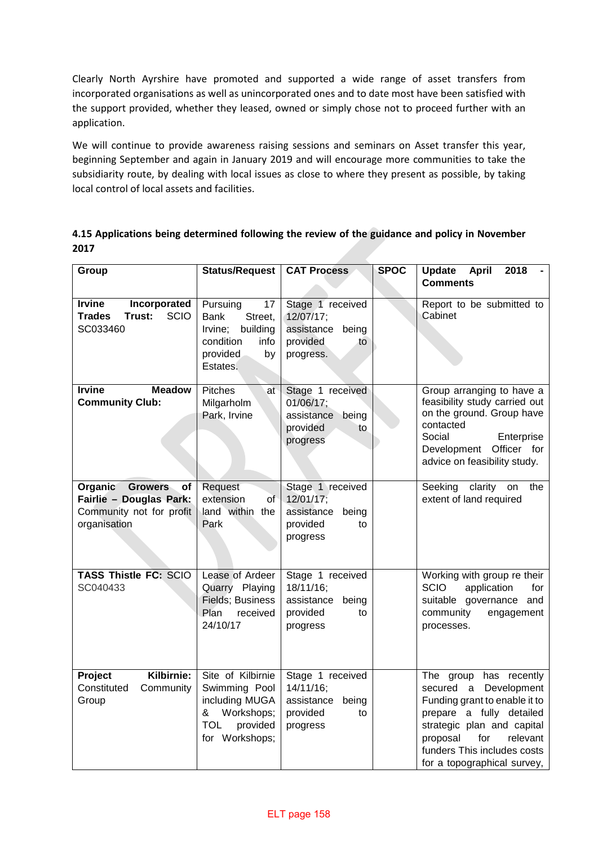Clearly North Ayrshire have promoted and supported a wide range of asset transfers from incorporated organisations as well as unincorporated ones and to date most have been satisfied with the support provided, whether they leased, owned or simply chose not to proceed further with an application.

We will continue to provide awareness raising sessions and seminars on Asset transfer this year, beginning September and again in January 2019 and will encourage more communities to take the subsidiarity route, by dealing with local issues as close to where they present as possible, by taking local control of local assets and facilities.

**4.15 Applications being determined following the review of the guidance and policy in November 2017**

| Group                                                                                                  | <b>Status/Request</b>                                                                                               | <b>CAT Process</b>                                                                  | <b>SPOC</b> | <b>Update</b><br><b>April</b><br>2018<br><b>Comments</b>                                                                                                                                                                                |
|--------------------------------------------------------------------------------------------------------|---------------------------------------------------------------------------------------------------------------------|-------------------------------------------------------------------------------------|-------------|-----------------------------------------------------------------------------------------------------------------------------------------------------------------------------------------------------------------------------------------|
| <b>Irvine</b><br>Incorporated<br><b>SCIO</b><br><b>Trades</b><br>Trust:<br>SC033460                    | Pursuing<br>17<br>Bank<br>Street,<br>Irvine;<br>building<br>condition<br>info<br>provided<br>by<br>Estates.         | Stage 1 received<br>12/07/17;<br>assistance<br>being<br>provided<br>to<br>progress. |             | Report to be submitted to<br>Cabinet                                                                                                                                                                                                    |
| <b>Meadow</b><br><b>Irvine</b><br><b>Community Club:</b>                                               | Pitches<br>at∍<br>Milgarholm<br>Park, Irvine                                                                        | Stage 1 received<br>01/06/17;<br>assistance being<br>provided<br>to<br>progress     |             | Group arranging to have a<br>feasibility study carried out<br>on the ground. Group have<br>contacted<br>Social<br>Enterprise<br>Development Officer for<br>advice on feasibility study.                                                 |
| Organic<br><b>Growers</b><br>οf<br>Fairlie - Douglas Park:<br>Community not for profit<br>organisation | Request<br>extension<br>of -<br>land within the<br>Park                                                             | Stage 1 received<br>12/01/17;<br>assistance<br>being<br>provided<br>to<br>progress  |             | clarity<br>Seeking<br>the<br>on<br>extent of land required                                                                                                                                                                              |
| <b>TASS Thistle FC: SCIO</b><br>SC040433                                                               | Lease of Ardeer<br>Quarry Playing<br><b>Fields</b> ; Business<br>Plan<br>received<br>24/10/17                       | Stage 1 received<br>18/11/16;<br>assistance<br>being<br>provided<br>to<br>progress  |             | Working with group re their<br><b>SCIO</b><br>application<br>for<br>suitable governance and<br>community<br>engagement<br>processes.                                                                                                    |
| Kilbirnie:<br>Project<br>Constituted<br>Community<br>Group                                             | Site of Kilbirnie<br>Swimming Pool<br>including MUGA<br>Workshops;<br>&<br>provided<br><b>TOL</b><br>for Workshops; | Stage 1 received<br>14/11/16;<br>assistance<br>being<br>provided<br>to<br>progress  |             | The group has recently<br>secured a Development<br>Funding grant to enable it to<br>prepare a fully detailed<br>strategic plan and capital<br>proposal<br>relevant<br>for<br>funders This includes costs<br>for a topographical survey, |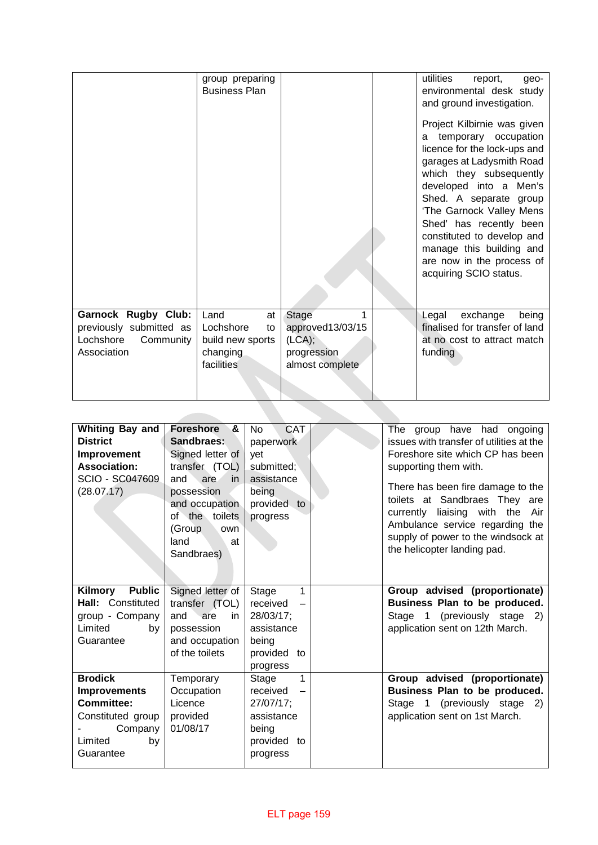|                                                                                                | group preparing<br><b>Business Plan</b>                                     |                                                                            | utilities<br>report,<br>geo-<br>environmental desk study<br>and ground investigation.<br>Project Kilbirnie was given<br>temporary occupation<br>a<br>licence for the lock-ups and<br>garages at Ladysmith Road<br>which they subsequently<br>developed into a Men's<br>Shed. A separate group<br>'The Garnock Valley Mens<br>Shed' has recently been<br>constituted to develop and<br>manage this building and<br>are now in the process of<br>acquiring SCIO status. |
|------------------------------------------------------------------------------------------------|-----------------------------------------------------------------------------|----------------------------------------------------------------------------|-----------------------------------------------------------------------------------------------------------------------------------------------------------------------------------------------------------------------------------------------------------------------------------------------------------------------------------------------------------------------------------------------------------------------------------------------------------------------|
| <b>Garnock Rugby Club:</b><br>previously submitted as<br>Lochshore<br>Community<br>Association | Land<br>at<br>Lochshore<br>to<br>build new sports<br>changing<br>facilities | Stage<br>1<br>approved13/03/15<br>(LCA);<br>progression<br>almost complete | Legal<br>exchange<br>being<br>finalised for transfer of land<br>at no cost to attract match<br>funding                                                                                                                                                                                                                                                                                                                                                                |

| <b>Whiting Bay and</b><br><b>District</b><br><b>Improvement</b><br><b>Association:</b><br><b>SCIO - SC047609</b><br>(28.07.17) | Foreshore<br>&<br>Sandbraes:<br>Signed letter of<br>transfer (TOL)<br>and<br>are<br>in.<br>possession<br>and occupation<br>of the toilets<br>(Group<br>own<br>land<br>at<br>Sandbraes) | <b>CAT</b><br><b>No</b><br>paperwork<br>yet<br>submitted;<br>assistance<br>being<br>provided to<br>progress       | The group have had ongoing<br>issues with transfer of utilities at the<br>Foreshore site which CP has been<br>supporting them with.<br>There has been fire damage to the<br>toilets at Sandbraes They are<br>currently liaising with the Air<br>Ambulance service regarding the<br>supply of power to the windsock at<br>the helicopter landing pad. |
|--------------------------------------------------------------------------------------------------------------------------------|----------------------------------------------------------------------------------------------------------------------------------------------------------------------------------------|-------------------------------------------------------------------------------------------------------------------|------------------------------------------------------------------------------------------------------------------------------------------------------------------------------------------------------------------------------------------------------------------------------------------------------------------------------------------------------|
| <b>Public</b><br>Kilmory<br>Hall: Constituted<br>group - Company<br>Limited<br>bv<br>Guarantee                                 | Signed letter of<br>transfer (TOL)<br>and<br>are<br>in.<br>possession<br>and occupation<br>of the toilets                                                                              | 1<br>Stage<br>received<br>$\overline{\phantom{0}}$<br>28/03/17;<br>assistance<br>being<br>provided to<br>progress | Group advised (proportionate)<br>Business Plan to be produced.<br>Stage 1 (previously stage 2)<br>application sent on 12th March.                                                                                                                                                                                                                    |
| <b>Brodick</b><br><b>Improvements</b><br><b>Committee:</b><br>Constituted group<br>Company<br>Limited<br>by<br>Guarantee       | Temporary<br>Occupation<br>Licence<br>provided<br>01/08/17                                                                                                                             | 1<br>Stage<br>received<br>27/07/17;<br>assistance<br>being<br>provided to<br>progress                             | Group advised (proportionate)<br>Business Plan to be produced.<br>Stage 1 (previously stage<br>2)<br>application sent on 1st March.                                                                                                                                                                                                                  |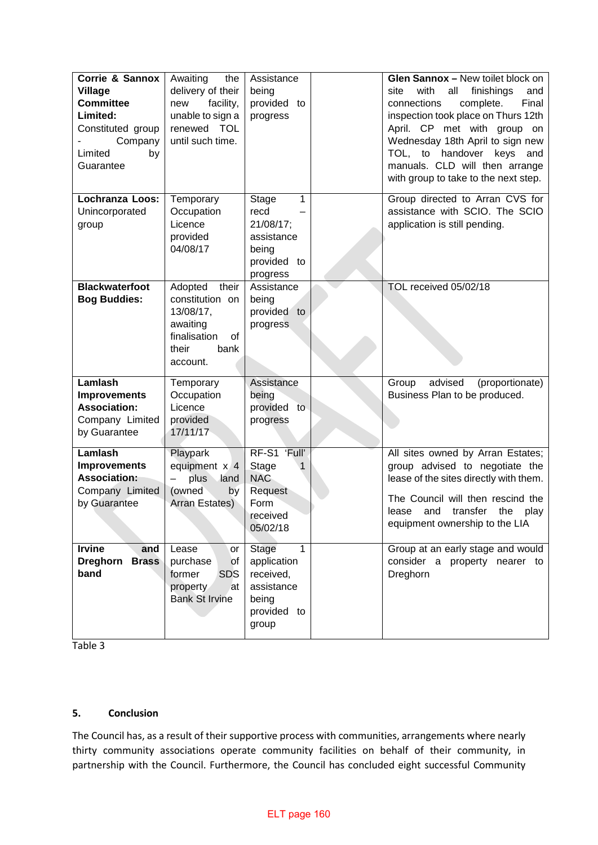| Corrie & Sannox<br><b>Village</b><br><b>Committee</b><br>Limited:<br>Constituted group<br>Company<br>Limited<br>by<br>Guarantee | Awaiting<br>the<br>delivery of their<br>facility,<br>new<br>unable to sign a<br>renewed TOL<br>until such time. | Assistance<br>being<br>provided to<br>progress                                                   | Glen Sannox - New toilet block on<br>with<br>all<br>finishings<br>site<br>and<br>Final<br>connections<br>complete.<br>inspection took place on Thurs 12th<br>April. CP met with group on<br>Wednesday 18th April to sign new<br>TOL, to<br>handover keys<br>and<br>manuals. CLD will then arrange<br>with group to take to the next step. |
|---------------------------------------------------------------------------------------------------------------------------------|-----------------------------------------------------------------------------------------------------------------|--------------------------------------------------------------------------------------------------|-------------------------------------------------------------------------------------------------------------------------------------------------------------------------------------------------------------------------------------------------------------------------------------------------------------------------------------------|
| <b>Lochranza Loos:</b><br>Unincorporated<br>group                                                                               | Temporary<br>Occupation<br>Licence<br>provided<br>04/08/17                                                      | 1<br>Stage<br>recd<br>21/08/17;<br>assistance<br>being<br>provided to<br>progress                | Group directed to Arran CVS for<br>assistance with SCIO. The SCIO<br>application is still pending.                                                                                                                                                                                                                                        |
| <b>Blackwaterfoot</b><br><b>Bog Buddies:</b>                                                                                    | Adopted<br>their<br>constitution on<br>13/08/17,<br>awaiting<br>finalisation<br>of<br>their<br>bank<br>account. | Assistance<br>being<br>provided to<br>progress                                                   | TOL received 05/02/18                                                                                                                                                                                                                                                                                                                     |
| Lamlash<br><b>Improvements</b><br><b>Association:</b><br>Company Limited<br>by Guarantee                                        | Temporary<br>Occupation<br>Licence<br>provided<br>17/11/17                                                      | Assistance<br>being<br>provided<br>to<br>progress                                                | advised<br>(proportionate)<br>Group<br>Business Plan to be produced.                                                                                                                                                                                                                                                                      |
| Lamlash<br><b>Improvements</b><br><b>Association:</b><br>Company Limited<br>by Guarantee                                        | Playpark<br>equipment x 4<br>plus<br>land<br>(owned)<br>by<br>Arran Estates)                                    | RF-S1 'Full'<br>Stage<br>1<br><b>NAC</b><br>Request<br>Form<br>received<br>05/02/18              | All sites owned by Arran Estates;<br>group advised to negotiate the<br>lease of the sites directly with them.<br>The Council will then rescind the<br>transfer<br>play<br>lease<br>and<br>the<br>equipment ownership to the LIA                                                                                                           |
| <b>Irvine</b><br>and<br><b>Brass</b><br><b>Dreghorn</b><br>band                                                                 | Lease<br>or<br>purchase<br><b>of</b><br><b>SDS</b><br>former<br>property<br>at<br><b>Bank St Irvine</b>         | $\mathbf{1}$<br>Stage<br>application<br>received,<br>assistance<br>being<br>provided to<br>group | Group at an early stage and would<br>consider a property nearer to<br>Dreghorn                                                                                                                                                                                                                                                            |

Table 3

## **5. Conclusion**

The Council has, as a result of their supportive process with communities, arrangements where nearly thirty community associations operate community facilities on behalf of their community, in partnership with the Council. Furthermore, the Council has concluded eight successful Community